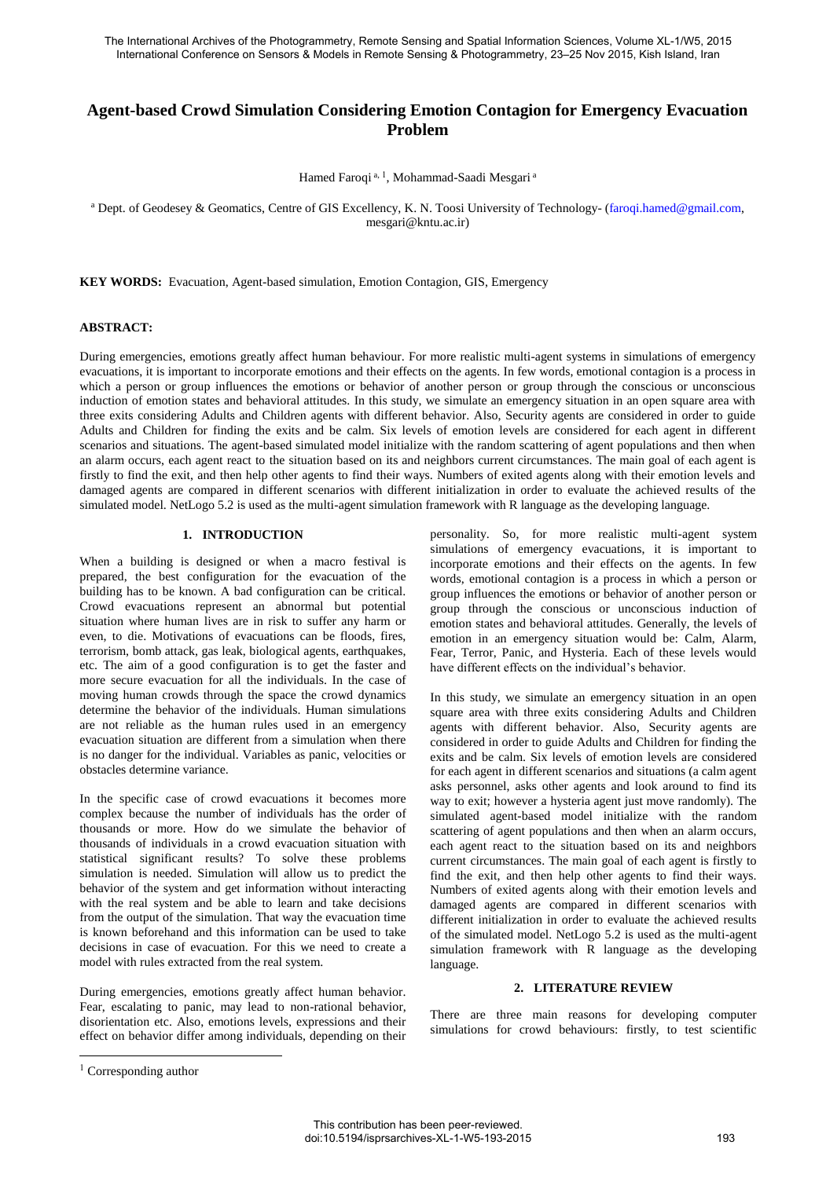# **Agent-based Crowd Simulation Considering Emotion Contagion for Emergency Evacuation Problem**

Hamed Faroqi a, <sup>1</sup>, Mohammad-Saadi Mesgari a

<sup>a</sup> Dept. of Geodesey & Geomatics, Centre of GIS Excellency, K. N. Toosi University of Technology- (faroqi.hamed@gmail.com, mesgari@kntu.ac.ir)

**KEY WORDS:** Evacuation, Agent-based simulation, Emotion Contagion, GIS, Emergency

# **ABSTRACT:**

During emergencies, emotions greatly affect human behaviour. For more realistic multi-agent systems in simulations of emergency evacuations, it is important to incorporate emotions and their effects on the agents. In few words, emotional contagion is a process in which a person or group influences the emotions or behavior of another person or group through the conscious or unconscious induction of emotion states and behavioral attitudes. In this study, we simulate an emergency situation in an open square area with three exits considering Adults and Children agents with different behavior. Also, Security agents are considered in order to guide Adults and Children for finding the exits and be calm. Six levels of emotion levels are considered for each agent in different scenarios and situations. The agent-based simulated model initialize with the random scattering of agent populations and then when an alarm occurs, each agent react to the situation based on its and neighbors current circumstances. The main goal of each agent is firstly to find the exit, and then help other agents to find their ways. Numbers of exited agents along with their emotion levels and damaged agents are compared in different scenarios with different initialization in order to evaluate the achieved results of the simulated model. NetLogo 5.2 is used as the multi-agent simulation framework with R language as the developing language.

### **1. INTRODUCTION**

When a building is designed or when a macro festival is prepared, the best configuration for the evacuation of the building has to be known. A bad configuration can be critical. Crowd evacuations represent an abnormal but potential situation where human lives are in risk to suffer any harm or even, to die. Motivations of evacuations can be floods, fires, terrorism, bomb attack, gas leak, biological agents, earthquakes, etc. The aim of a good configuration is to get the faster and more secure evacuation for all the individuals. In the case of moving human crowds through the space the crowd dynamics determine the behavior of the individuals. Human simulations are not reliable as the human rules used in an emergency evacuation situation are different from a simulation when there is no danger for the individual. Variables as panic, velocities or obstacles determine variance.

In the specific case of crowd evacuations it becomes more complex because the number of individuals has the order of thousands or more. How do we simulate the behavior of thousands of individuals in a crowd evacuation situation with statistical significant results? To solve these problems simulation is needed. Simulation will allow us to predict the behavior of the system and get information without interacting with the real system and be able to learn and take decisions from the output of the simulation. That way the evacuation time is known beforehand and this information can be used to take decisions in case of evacuation. For this we need to create a model with rules extracted from the real system.

During emergencies, emotions greatly affect human behavior. Fear, escalating to panic, may lead to non-rational behavior, disorientation etc. Also, emotions levels, expressions and their effect on behavior differ among individuals, depending on their

personality. So, for more realistic multi-agent system simulations of emergency evacuations, it is important to incorporate emotions and their effects on the agents. In few words, emotional contagion is a process in which a person or group influences the emotions or behavior of another person or group through the conscious or unconscious induction of emotion states and behavioral attitudes. Generally, the levels of emotion in an emergency situation would be: Calm, Alarm, Fear, Terror, Panic, and Hysteria. Each of these levels would have different effects on the individual's behavior.

In this study, we simulate an emergency situation in an open square area with three exits considering Adults and Children agents with different behavior. Also, Security agents are considered in order to guide Adults and Children for finding the exits and be calm. Six levels of emotion levels are considered for each agent in different scenarios and situations (a calm agent asks personnel, asks other agents and look around to find its way to exit; however a hysteria agent just move randomly). The simulated agent-based model initialize with the random scattering of agent populations and then when an alarm occurs, each agent react to the situation based on its and neighbors current circumstances. The main goal of each agent is firstly to find the exit, and then help other agents to find their ways. Numbers of exited agents along with their emotion levels and damaged agents are compared in different scenarios with different initialization in order to evaluate the achieved results of the simulated model. NetLogo 5.2 is used as the multi-agent simulation framework with R language as the developing language.

### **2. LITERATURE REVIEW**

There are three main reasons for developing computer simulations for crowd behaviours: firstly, to test scientific

l

<sup>&</sup>lt;sup>1</sup> Corresponding author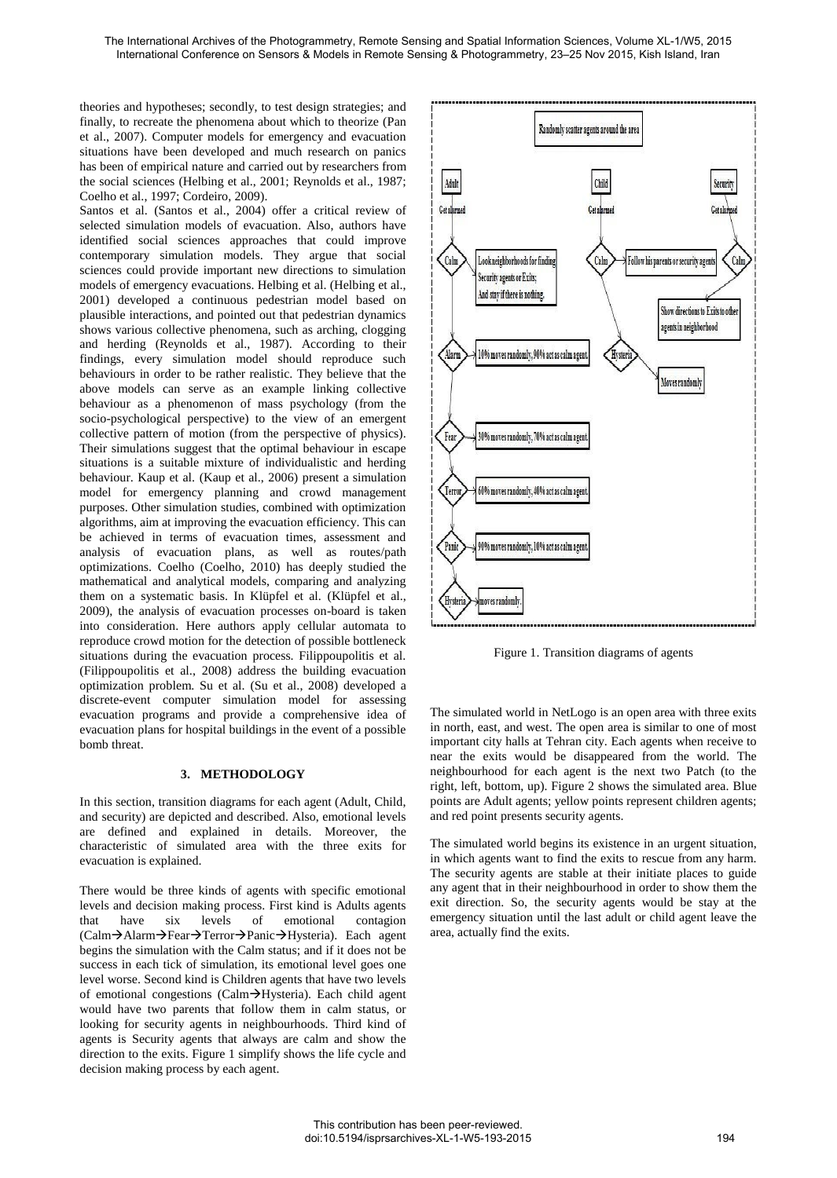theories and hypotheses; secondly, to test design strategies; and finally, to recreate the phenomena about which to theorize (Pan et al., 2007). Computer models for emergency and evacuation situations have been developed and much research on panics has been of empirical nature and carried out by researchers from the social sciences (Helbing et al., 2001; Reynolds et al., 1987; Coelho et al., 1997; Cordeiro, 2009).

Santos et al. (Santos et al., 2004) offer a critical review of selected simulation models of evacuation. Also, authors have identified social sciences approaches that could improve contemporary simulation models. They argue that social sciences could provide important new directions to simulation models of emergency evacuations. Helbing et al. (Helbing et al., 2001) developed a continuous pedestrian model based on plausible interactions, and pointed out that pedestrian dynamics shows various collective phenomena, such as arching, clogging and herding (Reynolds et al., 1987). According to their findings, every simulation model should reproduce such behaviours in order to be rather realistic. They believe that the above models can serve as an example linking collective behaviour as a phenomenon of mass psychology (from the socio-psychological perspective) to the view of an emergent collective pattern of motion (from the perspective of physics). Their simulations suggest that the optimal behaviour in escape situations is a suitable mixture of individualistic and herding behaviour. Kaup et al. (Kaup et al., 2006) present a simulation model for emergency planning and crowd management purposes. Other simulation studies, combined with optimization algorithms, aim at improving the evacuation efficiency. This can be achieved in terms of evacuation times, assessment and analysis of evacuation plans, as well as routes/path optimizations. Coelho (Coelho, 2010) has deeply studied the mathematical and analytical models, comparing and analyzing them on a systematic basis. In Klüpfel et al. (Klüpfel et al., 2009), the analysis of evacuation processes on-board is taken into consideration. Here authors apply cellular automata to reproduce crowd motion for the detection of possible bottleneck situations during the evacuation process. Filippoupolitis et al. (Filippoupolitis et al., 2008) address the building evacuation optimization problem. Su et al. (Su et al., 2008) developed a discrete-event computer simulation model for assessing evacuation programs and provide a comprehensive idea of evacuation plans for hospital buildings in the event of a possible bomb threat.

# **3. METHODOLOGY**

In this section, transition diagrams for each agent (Adult, Child, and security) are depicted and described. Also, emotional levels are defined and explained in details. Moreover, the characteristic of simulated area with the three exits for evacuation is explained.

There would be three kinds of agents with specific emotional levels and decision making process. First kind is Adults agents that have six levels of emotional contagion (Calm→Alarm→Fear→Terror→Panic→Hysteria). Each agent begins the simulation with the Calm status; and if it does not be success in each tick of simulation, its emotional level goes one level worse. Second kind is Children agents that have two levels of emotional congestions (Calm->Hysteria). Each child agent would have two parents that follow them in calm status, or looking for security agents in neighbourhoods. Third kind of agents is Security agents that always are calm and show the direction to the exits. Figure 1 simplify shows the life cycle and decision making process by each agent.



Figure 1. Transition diagrams of agents

The simulated world in NetLogo is an open area with three exits in north, east, and west. The open area is similar to one of most important city halls at Tehran city. Each agents when receive to near the exits would be disappeared from the world. The neighbourhood for each agent is the next two Patch (to the right, left, bottom, up). Figure 2 shows the simulated area. Blue points are Adult agents; yellow points represent children agents; and red point presents security agents.

The simulated world begins its existence in an urgent situation, in which agents want to find the exits to rescue from any harm. The security agents are stable at their initiate places to guide any agent that in their neighbourhood in order to show them the exit direction. So, the security agents would be stay at the emergency situation until the last adult or child agent leave the area, actually find the exits.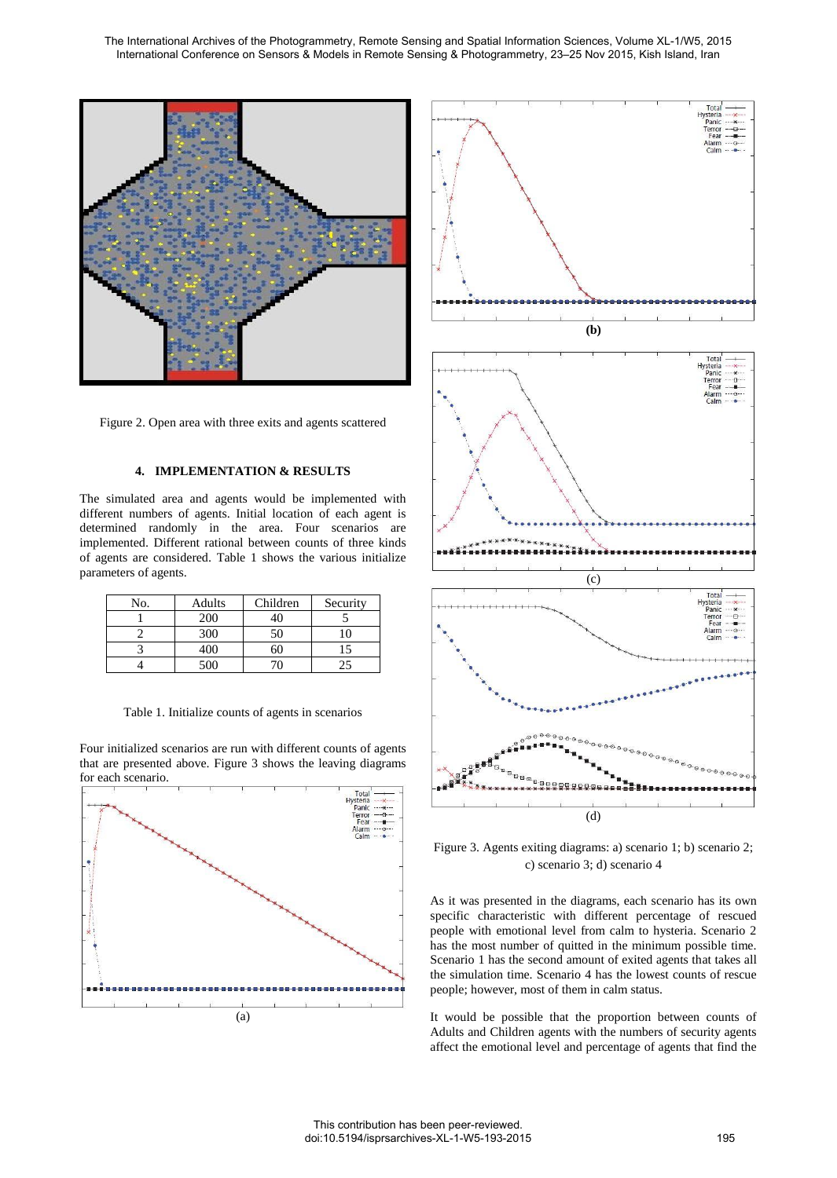

Figure 2. Open area with three exits and agents scattered

#### **4. IMPLEMENTATION & RESULTS**

The simulated area and agents would be implemented with different numbers of agents. Initial location of each agent is determined randomly in the area. Four scenarios are implemented. Different rational between counts of three kinds of agents are considered. Table 1 shows the various initialize parameters of agents.

| No. | Adults | Children | Security |
|-----|--------|----------|----------|
|     | 200    |          |          |
|     | 300    | 50       |          |
|     | 400    |          |          |
|     | 500    |          | 25       |

Table 1. Initialize counts of agents in scenarios

Four initialized scenarios are run with different counts of agents that are presented above. Figure 3 shows the leaving diagrams for each scenario.





Figure 3. Agents exiting diagrams: a) scenario 1; b) scenario 2; c) scenario 3; d) scenario 4

As it was presented in the diagrams, each scenario has its own specific characteristic with different percentage of rescued people with emotional level from calm to hysteria. Scenario 2 has the most number of quitted in the minimum possible time. Scenario 1 has the second amount of exited agents that takes all the simulation time. Scenario 4 has the lowest counts of rescue people; however, most of them in calm status.

It would be possible that the proportion between counts of Adults and Children agents with the numbers of security agents affect the emotional level and percentage of agents that find the